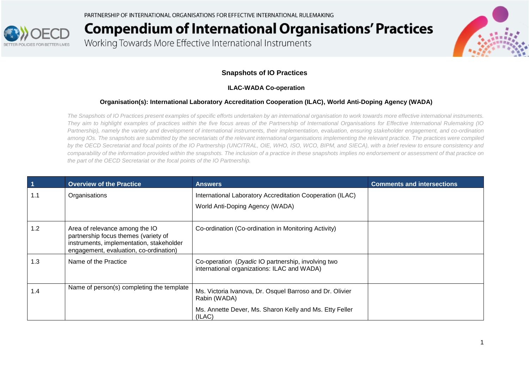PARTNERSHIP OF INTERNATIONAL ORGANISATIONS FOR EFFECTIVE INTERNATIONAL RULEMAKING



# **Compendium of International Organisations' Practices**

Working Towards More Effective International Instruments



#### **Snapshots of IO Practices**

#### **ILAC-WADA Co-operation**

#### **Organisation(s): International Laboratory Accreditation Cooperation (ILAC), World Anti-Doping Agency (WADA)**

*The Snapshots of IO Practices present examples of specific efforts undertaken by an international organisation to work towards more effective international instruments. They aim to highlight examples of practices within the five focus areas of the Partnership of International Organisations for Effective International Rulemaking (IO Partnership), namely the variety and development of international instruments, their implementation, evaluation, ensuring stakeholder engagement, and co-ordination among IOs. The snapshots are submitted by the secretariats of the relevant international organisations implementing the relevant practice. The practices were compiled by the OECD Secretariat and focal points of the IO Partnership (UNCITRAL, OIE, WHO, ISO, WCO, BIPM, and SIECA), with a brief review to ensure consistency and comparability of the information provided within the snapshots. The inclusion of a practice in these snapshots implies no endorsement or assessment of that practice on the part of the OECD Secretariat or the focal points of the IO Partnership.*

| $\blacktriangleleft$ | <b>Overview of the Practice</b>                                                                                                                              | <b>Answers</b>                                                                                    | <b>Comments and intersections</b> |
|----------------------|--------------------------------------------------------------------------------------------------------------------------------------------------------------|---------------------------------------------------------------------------------------------------|-----------------------------------|
| 1.1                  | Organisations                                                                                                                                                | International Laboratory Accreditation Cooperation (ILAC)                                         |                                   |
|                      |                                                                                                                                                              | World Anti-Doping Agency (WADA)                                                                   |                                   |
| 1.2                  | Area of relevance among the IO<br>partnership focus themes (variety of<br>instruments, implementation, stakeholder<br>engagement, evaluation, co-ordination) | Co-ordination (Co-ordination in Monitoring Activity)                                              |                                   |
| 1.3                  | Name of the Practice                                                                                                                                         | Co-operation (Dyadic IO partnership, involving two<br>international organizations: ILAC and WADA) |                                   |
| 1.4                  | Name of person(s) completing the template                                                                                                                    | Ms. Victoria Ivanova, Dr. Osquel Barroso and Dr. Olivier<br>Rabin (WADA)                          |                                   |
|                      |                                                                                                                                                              | Ms. Annette Dever, Ms. Sharon Kelly and Ms. Etty Feller<br>(ILAC)                                 |                                   |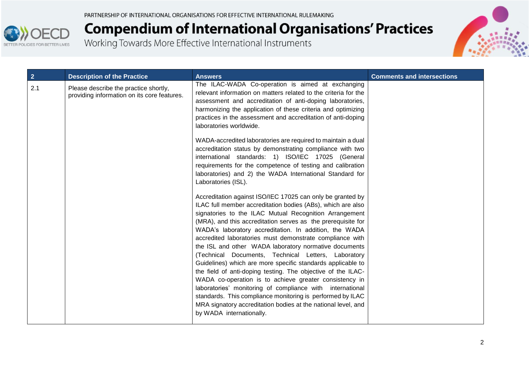

| $\overline{2}$ | <b>Description of the Practice</b>                                                   | <b>Answers</b>                                                                                                                                                                                                                                                                                                                                                                                                                                                                                                                                                                                                                                                                                                                                                                                                                                                                                             | <b>Comments and intersections</b> |
|----------------|--------------------------------------------------------------------------------------|------------------------------------------------------------------------------------------------------------------------------------------------------------------------------------------------------------------------------------------------------------------------------------------------------------------------------------------------------------------------------------------------------------------------------------------------------------------------------------------------------------------------------------------------------------------------------------------------------------------------------------------------------------------------------------------------------------------------------------------------------------------------------------------------------------------------------------------------------------------------------------------------------------|-----------------------------------|
| 2.1            | Please describe the practice shortly,<br>providing information on its core features. | The ILAC-WADA Co-operation is aimed at exchanging<br>relevant information on matters related to the criteria for the<br>assessment and accreditation of anti-doping laboratories,<br>harmonizing the application of these criteria and optimizing<br>practices in the assessment and accreditation of anti-doping<br>laboratories worldwide.<br>WADA-accredited laboratories are required to maintain a dual<br>accreditation status by demonstrating compliance with two                                                                                                                                                                                                                                                                                                                                                                                                                                  |                                   |
|                |                                                                                      | international standards: 1) ISO/IEC 17025 (General<br>requirements for the competence of testing and calibration<br>laboratories) and 2) the WADA International Standard for<br>Laboratories (ISL).                                                                                                                                                                                                                                                                                                                                                                                                                                                                                                                                                                                                                                                                                                        |                                   |
|                |                                                                                      | Accreditation against ISO/IEC 17025 can only be granted by<br>ILAC full member accreditation bodies (ABs), which are also<br>signatories to the ILAC Mutual Recognition Arrangement<br>(MRA), and this accreditation serves as the prerequisite for<br>WADA's laboratory accreditation. In addition, the WADA<br>accredited laboratories must demonstrate compliance with<br>the ISL and other WADA laboratory normative documents<br>(Technical Documents, Technical Letters, Laboratory<br>Guidelines) which are more specific standards applicable to<br>the field of anti-doping testing. The objective of the ILAC-<br>WADA co-operation is to achieve greater consistency in<br>laboratories' monitoring of compliance with international<br>standards. This compliance monitoring is performed by ILAC<br>MRA signatory accreditation bodies at the national level, and<br>by WADA internationally. |                                   |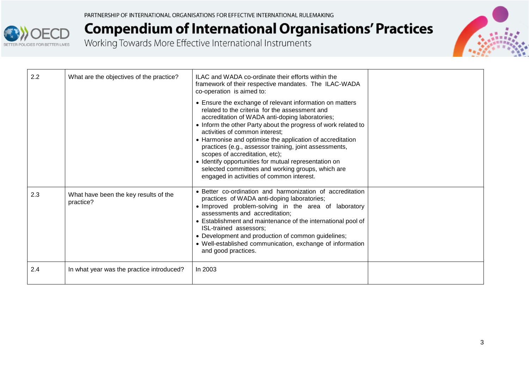



| 2.2 | What are the objectives of the practice?           | ILAC and WADA co-ordinate their efforts within the<br>framework of their respective mandates. The ILAC-WADA<br>co-operation is aimed to:<br>• Ensure the exchange of relevant information on matters<br>related to the criteria for the assessment and<br>accreditation of WADA anti-doping laboratories;<br>• Inform the other Party about the progress of work related to<br>activities of common interest;<br>• Harmonise and optimise the application of accreditation<br>practices (e.g., assessor training, joint assessments,<br>scopes of accreditation, etc);<br>• Identify opportunities for mutual representation on<br>selected committees and working groups, which are |  |
|-----|----------------------------------------------------|--------------------------------------------------------------------------------------------------------------------------------------------------------------------------------------------------------------------------------------------------------------------------------------------------------------------------------------------------------------------------------------------------------------------------------------------------------------------------------------------------------------------------------------------------------------------------------------------------------------------------------------------------------------------------------------|--|
|     |                                                    | engaged in activities of common interest.                                                                                                                                                                                                                                                                                                                                                                                                                                                                                                                                                                                                                                            |  |
| 2.3 | What have been the key results of the<br>practice? | • Better co-ordination and harmonization of accreditation<br>practices of WADA anti-doping laboratories;<br>. Improved problem-solving in the area of laboratory<br>assessments and accreditation;<br>• Establishment and maintenance of the international pool of<br>ISL-trained assessors;<br>• Development and production of common guidelines;<br>• Well-established communication, exchange of information<br>and good practices.                                                                                                                                                                                                                                               |  |
| 2.4 | In what year was the practice introduced?          | In 2003                                                                                                                                                                                                                                                                                                                                                                                                                                                                                                                                                                                                                                                                              |  |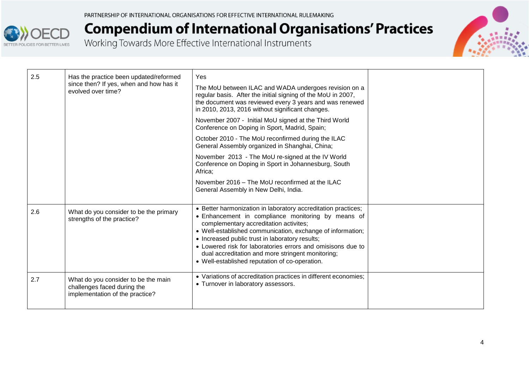



| 2.5 | Has the practice been updated/reformed<br>since then? If yes, when and how has it<br>evolved over time? | Yes<br>The MoU between ILAC and WADA undergoes revision on a<br>regular basis. After the initial signing of the MoU in 2007,<br>the document was reviewed every 3 years and was renewed<br>in 2010, 2013, 2016 without significant changes.                                                                                                                                                                                                          |  |
|-----|---------------------------------------------------------------------------------------------------------|------------------------------------------------------------------------------------------------------------------------------------------------------------------------------------------------------------------------------------------------------------------------------------------------------------------------------------------------------------------------------------------------------------------------------------------------------|--|
|     |                                                                                                         | November 2007 - Initial MoU signed at the Third World<br>Conference on Doping in Sport, Madrid, Spain;                                                                                                                                                                                                                                                                                                                                               |  |
|     |                                                                                                         | October 2010 - The MoU reconfirmed during the ILAC<br>General Assembly organized in Shanghai, China;                                                                                                                                                                                                                                                                                                                                                 |  |
|     |                                                                                                         | November 2013 - The MoU re-signed at the IV World<br>Conference on Doping in Sport in Johannesburg, South<br>Africa;                                                                                                                                                                                                                                                                                                                                 |  |
|     |                                                                                                         | November 2016 – The MoU reconfirmed at the ILAC<br>General Assembly in New Delhi, India.                                                                                                                                                                                                                                                                                                                                                             |  |
| 2.6 | What do you consider to be the primary<br>strengths of the practice?                                    | • Better harmonization in laboratory accreditation practices;<br>• Enhancement in compliance monitoring by means of<br>complementary accreditation activites;<br>• Well-established communication, exchange of information;<br>• Increased public trust in laboratory results;<br>• Lowered risk for laboratories errors and omisisons due to<br>dual accreditation and more stringent monitoring;<br>• Well-established reputation of co-operation. |  |
| 2.7 | What do you consider to be the main<br>challenges faced during the<br>implementation of the practice?   | • Variations of accreditation practices in different economies;<br>• Turnover in laboratory assessors.                                                                                                                                                                                                                                                                                                                                               |  |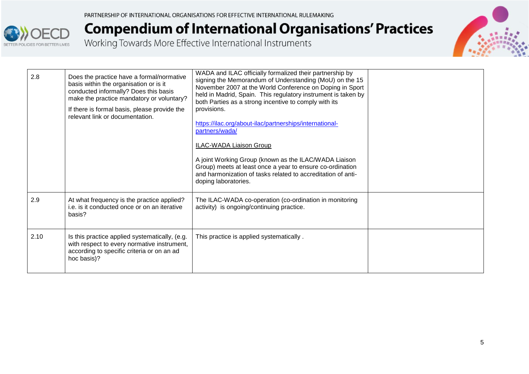



| 2.8  | Does the practice have a formal/normative<br>basis within the organisation or is it<br>conducted informally? Does this basis<br>make the practice mandatory or voluntary?<br>If there is formal basis, please provide the<br>relevant link or documentation. | WADA and ILAC officially formalized their partnership by<br>signing the Memorandum of Understanding (MoU) on the 15<br>November 2007 at the World Conference on Doping in Sport<br>held in Madrid, Spain. This regulatory instrument is taken by<br>both Parties as a strong incentive to comply with its<br>provisions.<br>https://ilac.org/about-ilac/partnerships/international-<br>partners/wada/<br><b>ILAC-WADA Liaison Group</b><br>A joint Working Group (known as the ILAC/WADA Liaison<br>Group) meets at least once a year to ensure co-ordination<br>and harmonization of tasks related to accreditation of anti-<br>doping laboratories. |  |
|------|--------------------------------------------------------------------------------------------------------------------------------------------------------------------------------------------------------------------------------------------------------------|-------------------------------------------------------------------------------------------------------------------------------------------------------------------------------------------------------------------------------------------------------------------------------------------------------------------------------------------------------------------------------------------------------------------------------------------------------------------------------------------------------------------------------------------------------------------------------------------------------------------------------------------------------|--|
| 2.9  | At what frequency is the practice applied?<br>i.e. is it conducted once or on an iterative<br>basis?                                                                                                                                                         | The ILAC-WADA co-operation (co-ordination in monitoring<br>activity) is ongoing/continuing practice.                                                                                                                                                                                                                                                                                                                                                                                                                                                                                                                                                  |  |
| 2.10 | Is this practice applied systematically, (e.g.<br>with respect to every normative instrument,<br>according to specific criteria or on an ad<br>hoc basis)?                                                                                                   | This practice is applied systematically.                                                                                                                                                                                                                                                                                                                                                                                                                                                                                                                                                                                                              |  |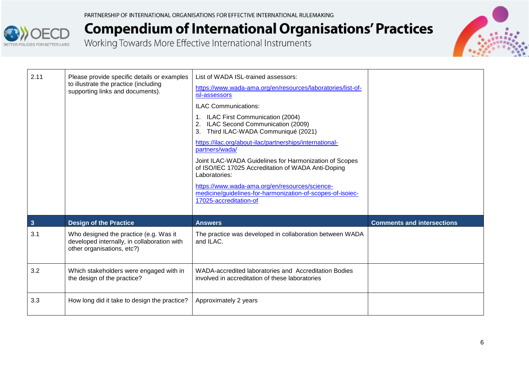



| 2.11           | Please provide specific details or examples<br>to illustrate the practice (including<br>supporting links and documents). | List of WADA ISL-trained assessors:<br>https://www.wada-ama.org/en/resources/laboratories/list-of-<br>isl-assessors<br><b>ILAC Communications:</b><br>1. ILAC First Communication (2004)<br>2. ILAC Second Communication (2009)<br>Third ILAC-WADA Communiqué (2021)<br>3.<br>https://ilac.org/about-ilac/partnerships/international-<br>partners/wada/<br>Joint ILAC-WADA Guidelines for Harmonization of Scopes<br>of ISO/IEC 17025 Accreditation of WADA Anti-Doping<br>Laboratories:<br>https://www.wada-ama.org/en/resources/science-<br>medicine/guidelines-for-harmonization-of-scopes-of-isoiec-<br>17025-accreditation-of |                                   |
|----------------|--------------------------------------------------------------------------------------------------------------------------|------------------------------------------------------------------------------------------------------------------------------------------------------------------------------------------------------------------------------------------------------------------------------------------------------------------------------------------------------------------------------------------------------------------------------------------------------------------------------------------------------------------------------------------------------------------------------------------------------------------------------------|-----------------------------------|
| $\overline{3}$ | <b>Design of the Practice</b>                                                                                            | <b>Answers</b>                                                                                                                                                                                                                                                                                                                                                                                                                                                                                                                                                                                                                     | <b>Comments and intersections</b> |
| 3.1            | Who designed the practice (e.g. Was it<br>developed internally, in collaboration with<br>other organisations, etc?)      | The practice was developed in collaboration between WADA<br>and ILAC.                                                                                                                                                                                                                                                                                                                                                                                                                                                                                                                                                              |                                   |
| 3.2            | Which stakeholders were engaged with in<br>the design of the practice?                                                   | WADA-accredited laboratories and Accreditation Bodies<br>involved in accreditation of these laboratories                                                                                                                                                                                                                                                                                                                                                                                                                                                                                                                           |                                   |
| 3.3            | How long did it take to design the practice?                                                                             | Approximately 2 years                                                                                                                                                                                                                                                                                                                                                                                                                                                                                                                                                                                                              |                                   |
|                |                                                                                                                          |                                                                                                                                                                                                                                                                                                                                                                                                                                                                                                                                                                                                                                    |                                   |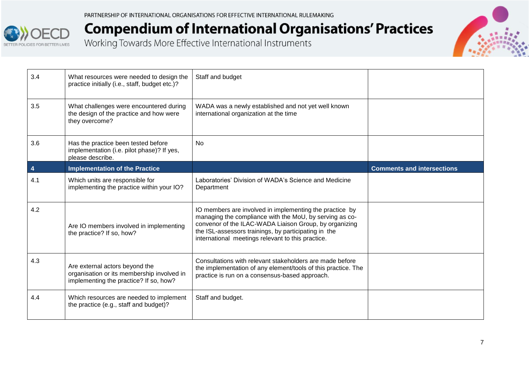



| 3.4 | What resources were needed to design the<br>practice initially (i.e., staff, budget etc.)?                             | Staff and budget                                                                                                                                                                                                                                                                          |                                   |
|-----|------------------------------------------------------------------------------------------------------------------------|-------------------------------------------------------------------------------------------------------------------------------------------------------------------------------------------------------------------------------------------------------------------------------------------|-----------------------------------|
| 3.5 | What challenges were encountered during<br>the design of the practice and how were<br>they overcome?                   | WADA was a newly established and not yet well known<br>international organization at the time                                                                                                                                                                                             |                                   |
| 3.6 | Has the practice been tested before<br>implementation (i.e. pilot phase)? If yes,<br>please describe.                  | <b>No</b>                                                                                                                                                                                                                                                                                 |                                   |
| 4   | <b>Implementation of the Practice</b>                                                                                  |                                                                                                                                                                                                                                                                                           | <b>Comments and intersections</b> |
| 4.1 | Which units are responsible for<br>implementing the practice within your IO?                                           | Laboratories' Division of WADA's Science and Medicine<br>Department                                                                                                                                                                                                                       |                                   |
| 4.2 | Are IO members involved in implementing<br>the practice? If so, how?                                                   | IO members are involved in implementing the practice by<br>managing the compliance with the MoU, by serving as co-<br>convenor of the ILAC-WADA Liaison Group, by organizing<br>the ISL-assessors trainings, by participating in the<br>international meetings relevant to this practice. |                                   |
| 4.3 | Are external actors beyond the<br>organisation or its membership involved in<br>implementing the practice? If so, how? | Consultations with relevant stakeholders are made before<br>the implementation of any element/tools of this practice. The<br>practice is run on a consensus-based approach.                                                                                                               |                                   |
| 4.4 | Which resources are needed to implement<br>the practice (e.g., staff and budget)?                                      | Staff and budget.                                                                                                                                                                                                                                                                         |                                   |